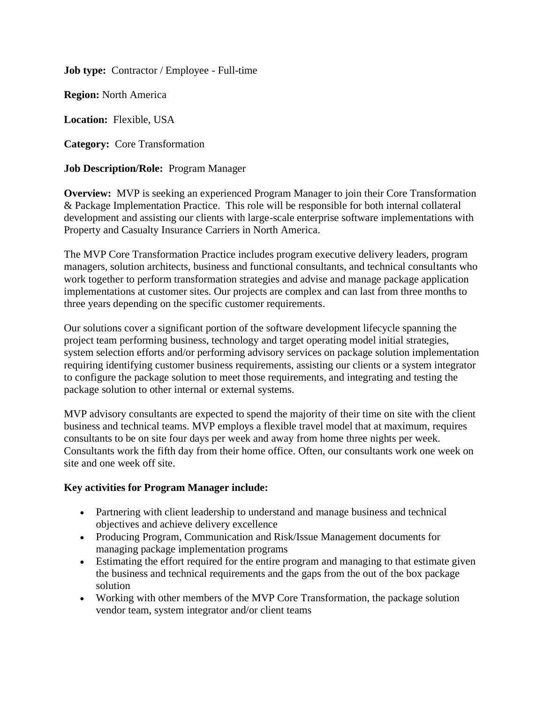**Job type:** Contractor / Employee - Full-time

**Region:** North America

**Location:** Flexible, USA

**Category:** Core Transformation

**Job Description/Role:** Program Manager

**Overview:** MVP is seeking an experienced Program Manager to join their Core Transformation & Package Implementation Practice. This role will be responsible for both internal collateral development and assisting our clients with large-scale enterprise software implementations with Property and Casualty Insurance Carriers in North America.

The MVP Core Transformation Practice includes program executive delivery leaders, program managers, solution architects, business and functional consultants, and technical consultants who work together to perform transformation strategies and advise and manage package application implementations at customer sites. Our projects are complex and can last from three months to three years depending on the specific customer requirements.

Our solutions cover a significant portion of the software development lifecycle spanning the project team performing business, technology and target operating model initial strategies, system selection efforts and/or performing advisory services on package solution implementation requiring identifying customer business requirements, assisting our clients or a system integrator to configure the package solution to meet those requirements, and integrating and testing the package solution to other internal or external systems.

MVP advisory consultants are expected to spend the majority of their time on site with the client business and technical teams. MVP employs a flexible travel model that at maximum, requires consultants to be on site four days per week and away from home three nights per week. Consultants work the fifth day from their home office. Often, our consultants work one week on site and one week off site.

## **Key activities for Program Manager include:**

- Partnering with client leadership to understand and manage business and technical objectives and achieve delivery excellence
- Producing Program, Communication and Risk/Issue Management documents for managing package implementation programs
- Estimating the effort required for the entire program and managing to that estimate given the business and technical requirements and the gaps from the out of the box package solution
- Working with other members of the MVP Core Transformation, the package solution vendor team, system integrator and/or client teams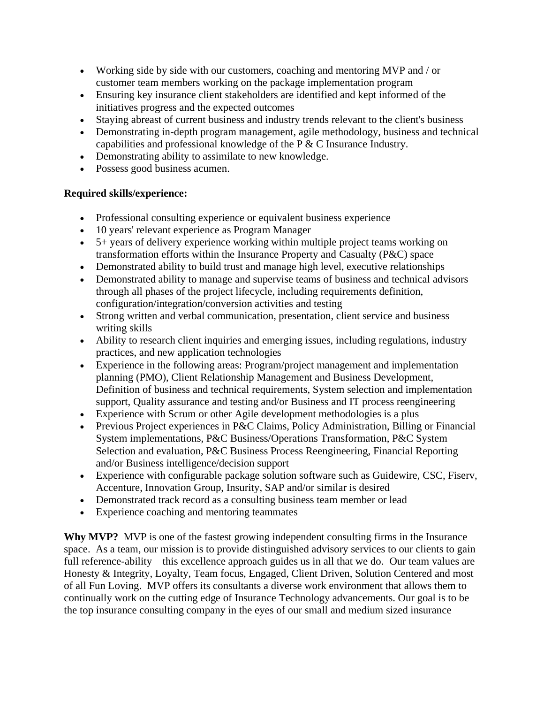- Working side by side with our customers, coaching and mentoring MVP and / or customer team members working on the package implementation program
- Ensuring key insurance client stakeholders are identified and kept informed of the initiatives progress and the expected outcomes
- Staying abreast of current business and industry trends relevant to the client's business
- Demonstrating in-depth program management, agile methodology, business and technical capabilities and professional knowledge of the P & C Insurance Industry.
- Demonstrating ability to assimilate to new knowledge.
- Possess good business acumen.

## **Required skills/experience:**

- Professional consulting experience or equivalent business experience
- 10 years' relevant experience as Program Manager
- 5+ years of delivery experience working within multiple project teams working on transformation efforts within the Insurance Property and Casualty (P&C) space
- Demonstrated ability to build trust and manage high level, executive relationships
- Demonstrated ability to manage and supervise teams of business and technical advisors through all phases of the project lifecycle, including requirements definition, configuration/integration/conversion activities and testing
- Strong written and verbal communication, presentation, client service and business writing skills
- Ability to research client inquiries and emerging issues, including regulations, industry practices, and new application technologies
- Experience in the following areas: Program/project management and implementation planning (PMO), Client Relationship Management and Business Development, Definition of business and technical requirements, System selection and implementation support, Quality assurance and testing and/or Business and IT process reengineering
- Experience with Scrum or other Agile development methodologies is a plus
- Previous Project experiences in P&C Claims, Policy Administration, Billing or Financial System implementations, P&C Business/Operations Transformation, P&C System Selection and evaluation, P&C Business Process Reengineering, Financial Reporting and/or Business intelligence/decision support
- Experience with configurable package solution software such as Guidewire, CSC, Fiserv, Accenture, Innovation Group, Insurity, SAP and/or similar is desired
- Demonstrated track record as a consulting business team member or lead
- Experience coaching and mentoring teammates

**Why MVP?** MVP is one of the fastest growing independent consulting firms in the Insurance space. As a team, our mission is to provide distinguished advisory services to our clients to gain full reference-ability – this excellence approach guides us in all that we do. Our team values are Honesty & Integrity, Loyalty, Team focus, Engaged, Client Driven, Solution Centered and most of all Fun Loving. MVP offers its consultants a diverse work environment that allows them to continually work on the cutting edge of Insurance Technology advancements. Our goal is to be the top insurance consulting company in the eyes of our small and medium sized insurance